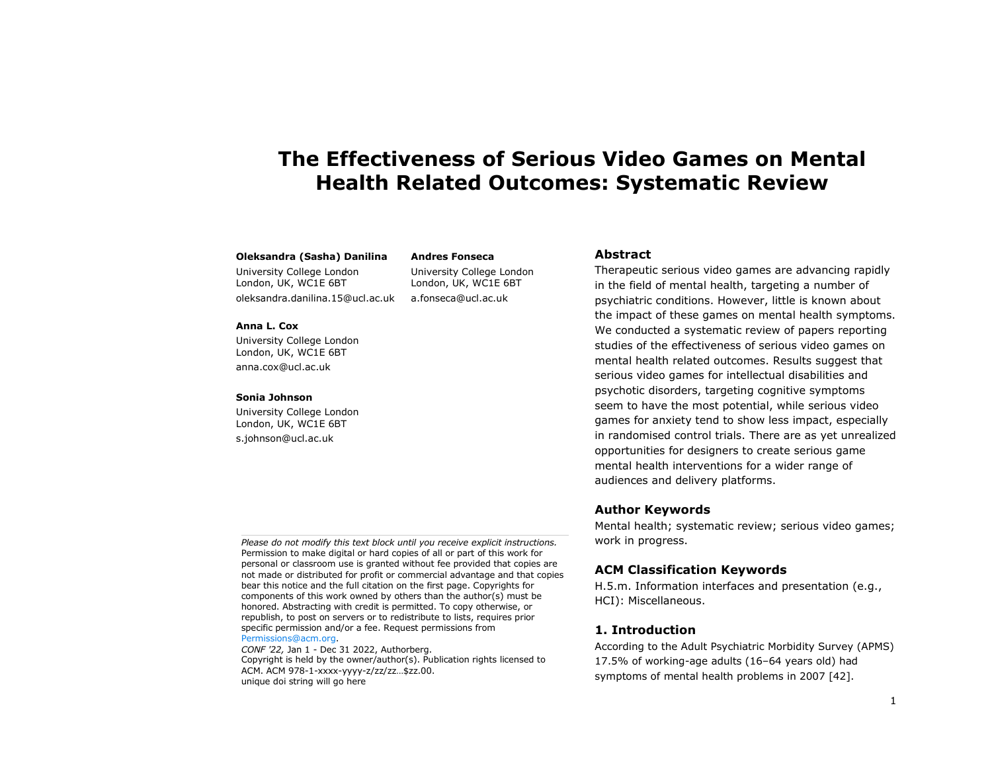# **The Effectiveness of Serious Video Games on Mental Health Related Outcomes: Systematic Review**

#### **Oleksandra (Sasha) Danilina**

University College London London, UK, WC1E 6BT oleksandra.danilina.15@ucl.ac.uk

**Anna L. Cox**

University College London London, UK, WC1E 6BT anna.cox@ucl.ac.uk

#### **Sonia Johnson**

University College London London, UK, WC1E 6BT s.johnson@ucl.ac.uk

University College London London, UK, WC1E 6BT a.fonseca@ucl.ac.uk

**Andres Fonseca**

# **Abstract**

Therapeutic serious video games are advancing rapidly in the field of mental health, targeting a number of psychiatric conditions. However, little is known about the impact of these games on mental health symptoms. We conducted a systematic review of papers reporting studies of the effectiveness of serious video games on mental health related outcomes. Results suggest that serious video games for intellectual disabilities and psychotic disorders, targeting cognitive symptoms seem to have the most potential, while serious video games for anxiety tend to show less impact, especially in randomised control trials. There are as yet unrealized opportunities for designers to create serious game mental health interventions for a wider range of audiences and delivery platforms.

# **Author Keywords**

Mental health; systematic review; serious video games; work in progress.

# **ACM Classification Keywords**

H.5.m. Information interfaces and presentation (e.g., HCI): Miscellaneous.

# **1. Introduction**

According to the Adult Psychiatric Morbidity Survey (APMS) 17.5% of working-age adults (16–64 years old) had symptoms of mental health problems in 2007 [42].

*Please do not modify this text block until you receive explicit instructions.* Permission to make digital or hard copies of all or part of this work for personal or classroom use is granted without fee provided that copies are not made or distributed for profit or commercial advantage and that copies bear this notice and the full citation on the first page. Copyrights for components of this work owned by others than the author(s) must be honored. Abstracting with credit is permitted. To copy otherwise, or republish, to post on servers or to redistribute to lists, requires prior specific permission and/or a fee. Request permissions from [Permissions@acm.org.](mailto:Permissions@acm.org)

*CONF '22,* Jan 1 - Dec 31 2022, Authorberg. Copyright is held by the owner/author(s). Publication rights licensed to ACM. ACM 978-1-xxxx-yyyy-z/zz/zz…\$zz.00. unique doi string will go here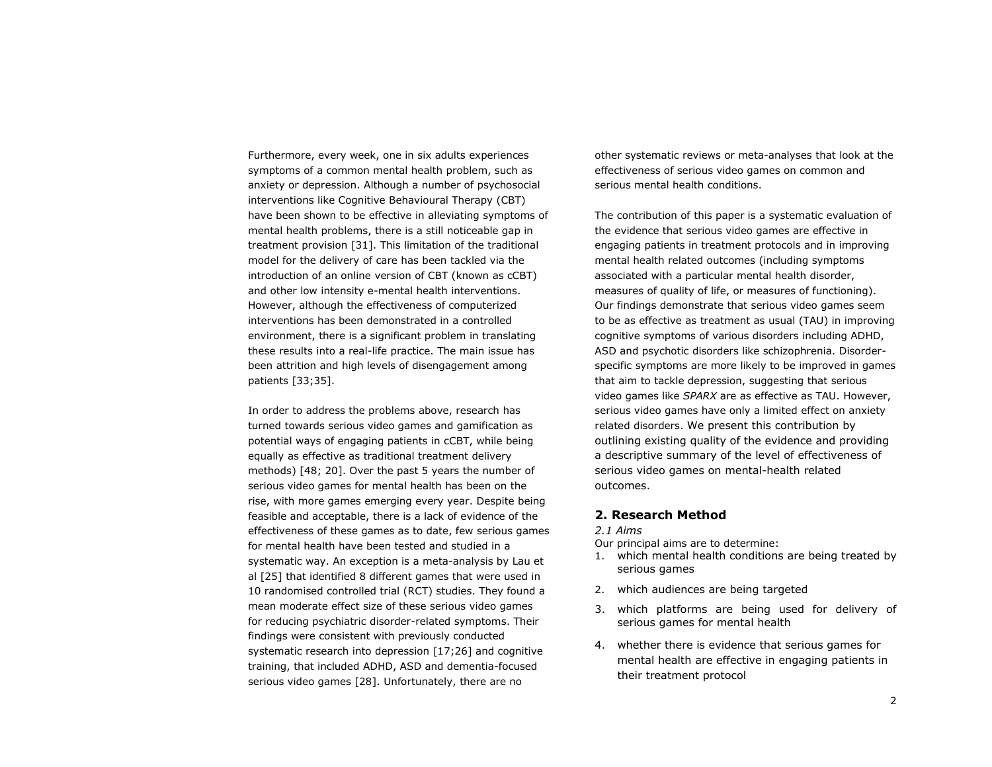Furthermore, every week, one in six adults experiences symptoms of a common mental health problem, such as anxiety or depression. Although a number of psychosocial interventions like Cognitive Behavioural Therapy (CBT) have been shown to be effective in alleviating symptoms of mental health problems, there is a still noticeable gap in treatment provision [31]. This limitation of the traditional model for the delivery of care has been tackled via the introduction of an online version of CBT (known as cCBT) and other low intensity e-mental health interventions. However, although the effectiveness of computerized interventions has been demonstrated in a controlled environment, there is a significant problem in translating these results into a real-life practice. The main issue has been attrition and high levels of disengagement among patients [33;35].

In order to address the problems above, research has turned towards serious video games and gamification as potential ways of engaging patients in cCBT, while being equally as effective as traditional treatment delivery methods) [48; 20]. Over the past 5 years the number of serious video games for mental health has been on the rise, with more games emerging every year. Despite being feasible and acceptable, there is a lack of evidence of the effectiveness of these games as to date, few serious games for mental health have been tested and studied in a systematic way. An exception is a meta-analysis by Lau et al [25] that identified 8 different games that were used in 10 randomised controlled trial (RCT) studies. They found a mean moderate effect size of these serious video games for reducing psychiatric disorder-related symptoms. Their findings were consistent with previously conducted systematic research into depression [17;26] and cognitive training, that included ADHD, ASD and dementia-focused serious video games [28]. Unfortunately, there are no

other systematic reviews or meta-analyses that look at the effectiveness of serious video games on common and serious mental health conditions.

The contribution of this paper is a systematic evaluation of the evidence that serious video games are effective in engaging patients in treatment protocols and in improving mental health related outcomes (including symptoms associated with a particular mental health disorder, measures of quality of life, or measures of functioning). Our findings demonstrate that serious video games seem to be as effective as treatment as usual (TAU) in improving cognitive symptoms of various disorders including ADHD, ASD and psychotic disorders like schizophrenia. Disorderspecific symptoms are more likely to be improved in games that aim to tackle depression, suggesting that serious video games like *SPARX* are as effective as TAU. However, serious video games have only a limited effect on anxiety related disorders. We present this contribution by outlining existing quality of the evidence and providing a descriptive summary of the level of effectiveness of serious video games on mental-health related outcomes.

# **2. Research Method**

#### *2.1 Aims*

Our principal aims are to determine:

- 1. which mental health conditions are being treated by serious games
- 2. which audiences are being targeted
- 3. which platforms are being used for delivery of serious games for mental health
- 4. whether there is evidence that serious games for mental health are effective in engaging patients in their treatment protocol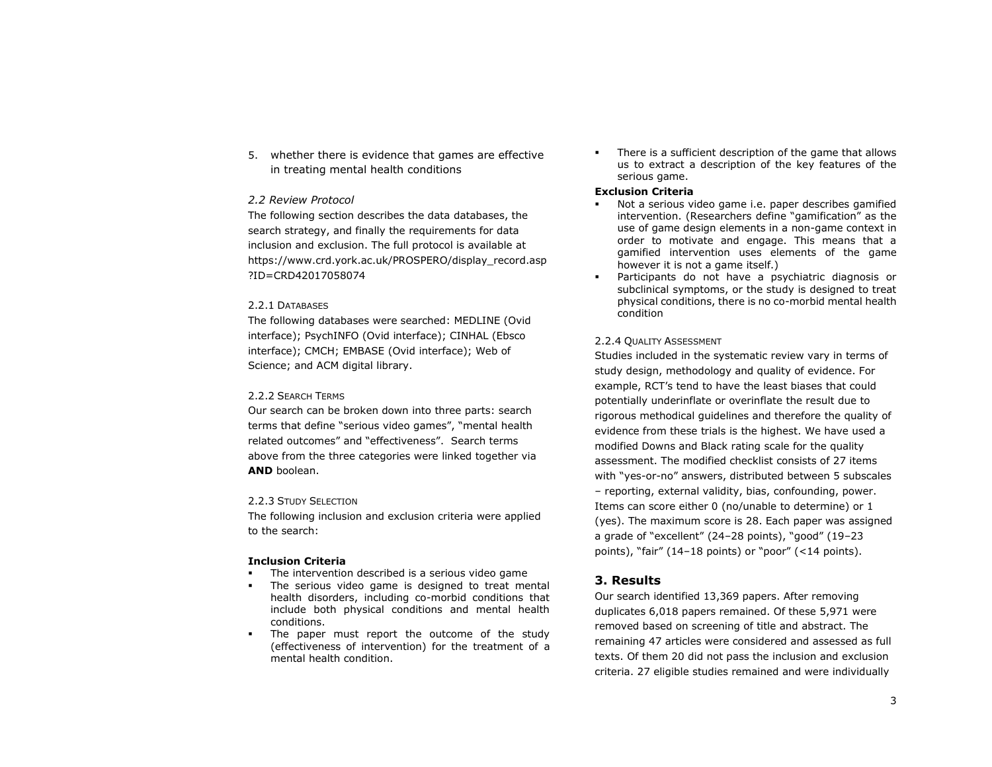5. whether there is evidence that games are effective in treating mental health conditions

#### *2.2 Review Protocol*

The following section describes the data databases, the search strategy, and finally the requirements for data inclusion and exclusion. The full protocol is available at https://www.crd.york.ac.uk/PROSPERO/display\_record.asp ?ID=CRD42017058074

#### 2.2.1 DATABASES

The following databases were searched: MEDLINE (Ovid interface); PsychINFO (Ovid interface); CINHAL (Ebsco interface); CMCH; EMBASE (Ovid interface); Web of Science; and ACM digital library.

#### 2.2.2 SEARCH TERMS

Our search can be broken down into three parts: search terms that define "serious video games", "mental health related outcomes" and "effectiveness". Search terms above from the three categories were linked together via **AND** boolean.

#### 2.2.3 STUDY SELECTION

The following inclusion and exclusion criteria were applied to the search:

#### **Inclusion Criteria**

- The intervention described is a serious video game
- The serious video game is designed to treat mental health disorders, including co-morbid conditions that include both physical conditions and mental health conditions.
- The paper must report the outcome of the study (effectiveness of intervention) for the treatment of a mental health condition.

There is a sufficient description of the game that allows us to extract a description of the key features of the serious game.

#### **Exclusion Criteria**

- Not a serious video game i.e. paper describes gamified intervention. (Researchers define "gamification" as the use of game design elements in a non-game context in order to motivate and engage. This means that a gamified intervention uses elements of the game however it is not a game itself.)
- Participants do not have a psychiatric diagnosis or subclinical symptoms, or the study is designed to treat physical conditions, there is no co-morbid mental health condition

#### 2.2.4 QUALITY ASSESSMENT

Studies included in the systematic review vary in terms of study design, methodology and quality of evidence. For example, RCT's tend to have the least biases that could potentially underinflate or overinflate the result due to rigorous methodical guidelines and therefore the quality of evidence from these trials is the highest. We have used a modified Downs and Black rating scale for the quality assessment. The modified checklist consists of 27 items with "yes-or-no" answers, distributed between 5 subscales – reporting, external validity, bias, confounding, power. Items can score either 0 (no/unable to determine) or 1 (yes). The maximum score is 28. Each paper was assigned a grade of "excellent" (24–28 points), "good" (19–23 points), "fair" (14–18 points) or "poor" (<14 points).

# **3. Results**

Our search identified 13,369 papers. After removing duplicates 6,018 papers remained. Of these 5,971 were removed based on screening of title and abstract. The remaining 47 articles were considered and assessed as full texts. Of them 20 did not pass the inclusion and exclusion criteria. 27 eligible studies remained and were individually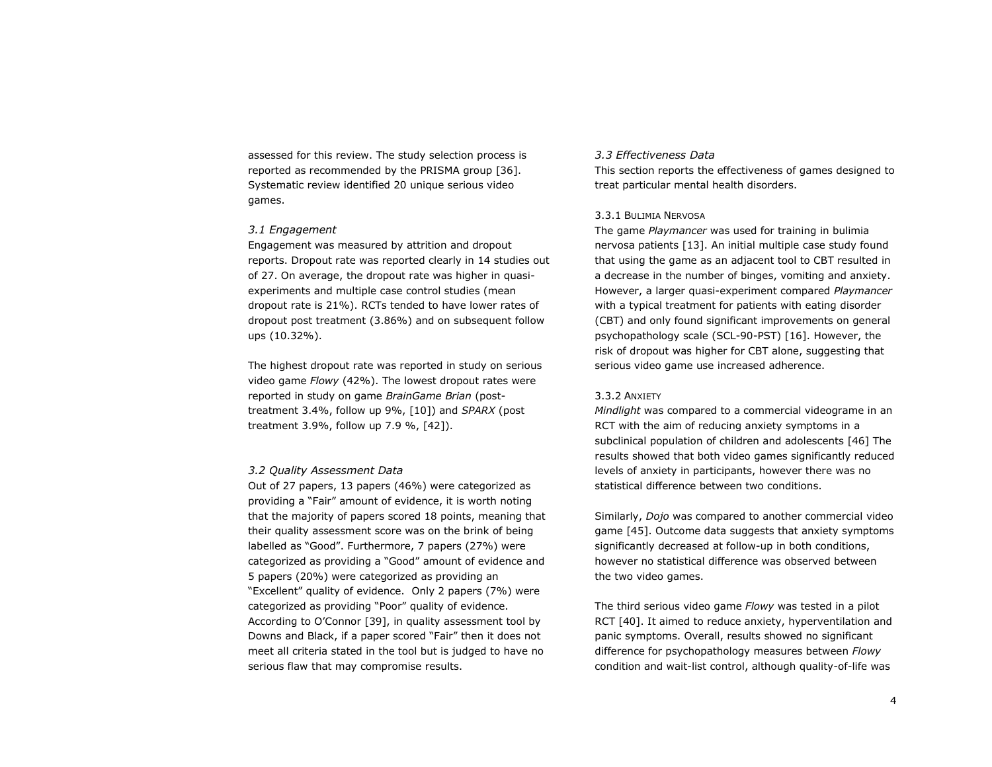assessed for this review. The study selection process is reported as recommended by the PRISMA group [36]. Systematic review identified 20 unique serious video games.

#### *3.1 Engagement*

Engagement was measured by attrition and dropout reports. Dropout rate was reported clearly in 14 studies out of 27. On average, the dropout rate was higher in quasiexperiments and multiple case control studies (mean dropout rate is 21%). RCTs tended to have lower rates of dropout post treatment (3.86%) and on subsequent follow ups (10.32%).

The highest dropout rate was reported in study on serious video game *Flowy* (42%). The lowest dropout rates were reported in study on game *BrainGame Brian* (posttreatment 3.4%, follow up 9%, [10]) and *SPARX* (post treatment 3.9%, follow up 7.9 %, [42]).

#### *3.2 Quality Assessment Data*

Out of 27 papers, 13 papers (46%) were categorized as providing a "Fair" amount of evidence, it is worth noting that the majority of papers scored 18 points, meaning that their quality assessment score was on the brink of being labelled as "Good". Furthermore, 7 papers (27%) were categorized as providing a "Good" amount of evidence and 5 papers (20%) were categorized as providing an "Excellent" quality of evidence. Only 2 papers (7%) were categorized as providing "Poor" quality of evidence. According to O'Connor [39], in quality assessment tool by Downs and Black, if a paper scored "Fair" then it does not meet all criteria stated in the tool but is judged to have no serious flaw that may compromise results.

### *3.3 Effectiveness Data*

This section reports the effectiveness of games designed to treat particular mental health disorders.

#### 3.3.1 BULIMIA NERVOSA

The game *Playmancer* was used for training in bulimia nervosa patients [13]. An initial multiple case study found that using the game as an adjacent tool to CBT resulted in a decrease in the number of binges, vomiting and anxiety. However, a larger quasi-experiment compared *Playmancer* with a typical treatment for patients with eating disorder (CBT) and only found significant improvements on general psychopathology scale (SCL-90-PST) [16]. However, the risk of dropout was higher for CBT alone, suggesting that serious video game use increased adherence.

#### 3.3.2 ANXIETY

*Mindlight* was compared to a commercial videograme in an RCT with the aim of reducing anxiety symptoms in a subclinical population of children and adolescents [46] The results showed that both video games significantly reduced levels of anxiety in participants, however there was no statistical difference between two conditions.

Similarly, *Dojo* was compared to another commercial video game [45]. Outcome data suggests that anxiety symptoms significantly decreased at follow-up in both conditions, however no statistical difference was observed between the two video games.

The third serious video game *Flowy* was tested in a pilot RCT [40]. It aimed to reduce anxiety, hyperventilation and panic symptoms. Overall, results showed no significant difference for psychopathology measures between *Flowy* condition and wait-list control, although quality-of-life was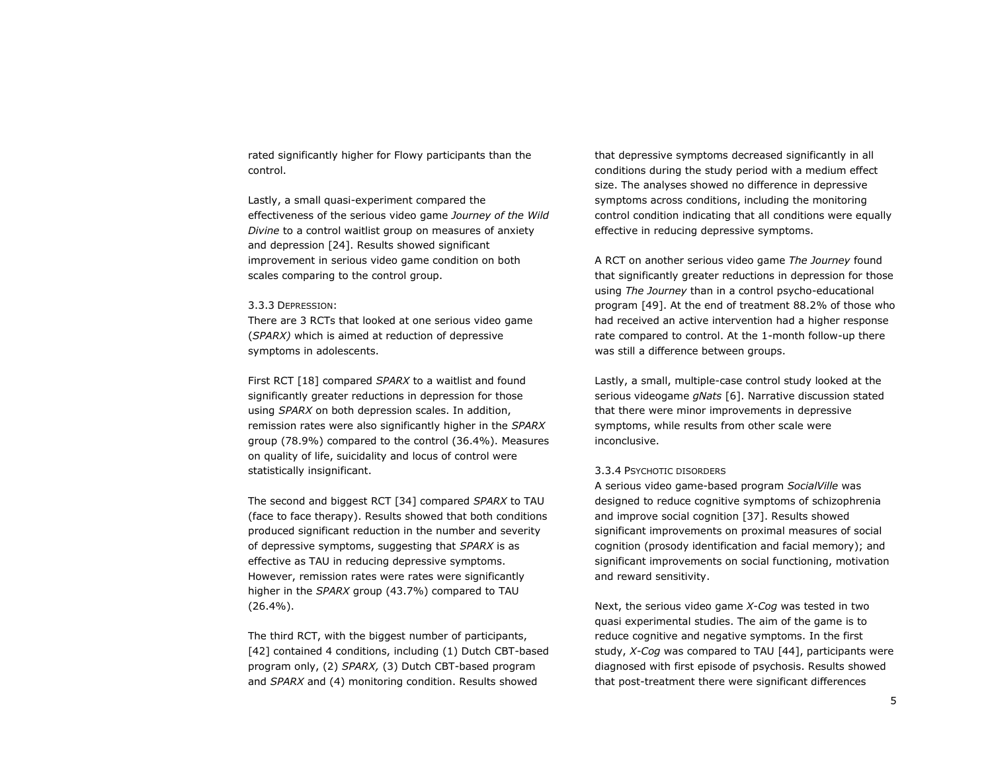rated significantly higher for Flowy participants than the control.

Lastly, a small quasi-experiment compared the effectiveness of the serious video game *Journey of the Wild Divine* to a control waitlist group on measures of anxiety and depression [24]. Results showed significant improvement in serious video game condition on both scales comparing to the control group.

#### 3.3.3 DEPRESSION:

There are 3 RCTs that looked at one serious video game (*SPARX)* which is aimed at reduction of depressive symptoms in adolescents.

First RCT [18] compared *SPARX* to a waitlist and found significantly greater reductions in depression for those using *SPARX* on both depression scales. In addition, remission rates were also significantly higher in the *SPARX* group (78.9%) compared to the control (36.4%). Measures on quality of life, suicidality and locus of control were statistically insignificant.

The second and biggest RCT [34] compared *SPARX* to TAU (face to face therapy). Results showed that both conditions produced significant reduction in the number and severity of depressive symptoms, suggesting that *SPARX* is as effective as TAU in reducing depressive symptoms. However, remission rates were rates were significantly higher in the *SPARX* group (43.7%) compared to TAU (26.4%).

The third RCT, with the biggest number of participants, [42] contained 4 conditions, including (1) Dutch CBT-based program only, (2) *SPARX,* (3) Dutch CBT-based program and *SPARX* and (4) monitoring condition. Results showed

that depressive symptoms decreased significantly in all conditions during the study period with a medium effect size. The analyses showed no difference in depressive symptoms across conditions, including the monitoring control condition indicating that all conditions were equally effective in reducing depressive symptoms.

A RCT on another serious video game *The Journey* found that significantly greater reductions in depression for those using *The Journey* than in a control psycho-educational program [49]. At the end of treatment 88.2% of those who had received an active intervention had a higher response rate compared to control. At the 1-month follow-up there was still a difference between groups.

Lastly, a small, multiple-case control study looked at the serious videogame *gNats* [6]. Narrative discussion stated that there were minor improvements in depressive symptoms, while results from other scale were inconclusive.

#### 3.3.4 PSYCHOTIC DISORDERS

A serious video game-based program *SocialVille* was designed to reduce cognitive symptoms of schizophrenia and improve social cognition [37]. Results showed significant improvements on proximal measures of social cognition (prosody identification and facial memory); and significant improvements on social functioning, motivation and reward sensitivity.

Next, the serious video game *X-Cog* was tested in two quasi experimental studies. The aim of the game is to reduce cognitive and negative symptoms. In the first study, *X-Cog* was compared to TAU [44], participants were diagnosed with first episode of psychosis. Results showed that post-treatment there were significant differences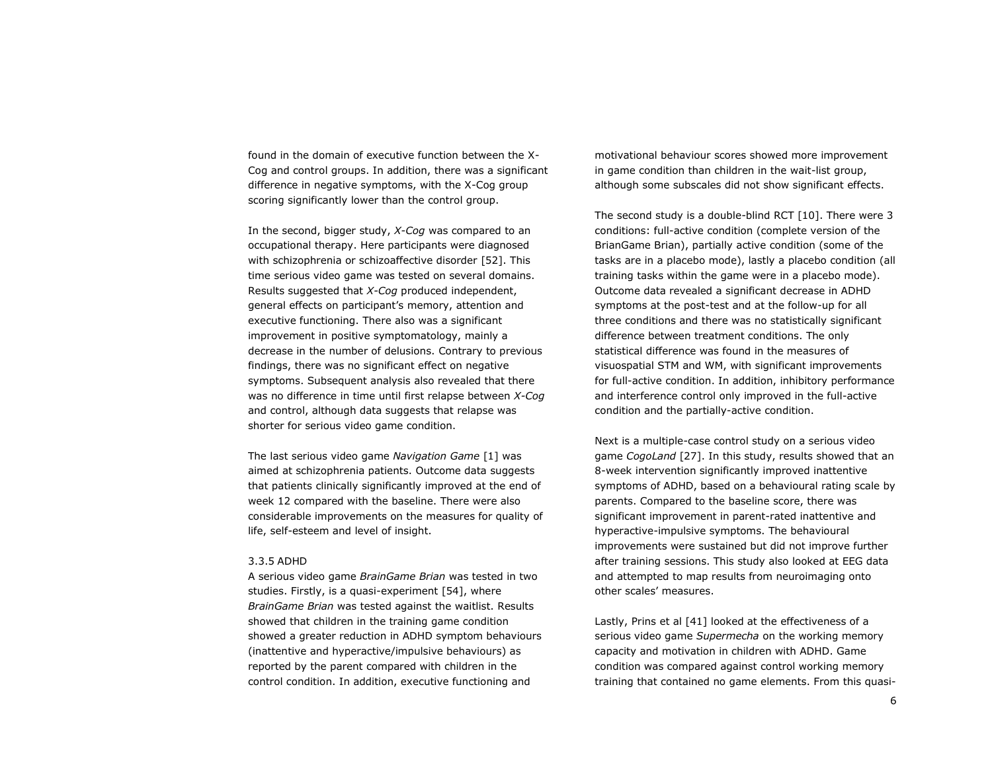found in the domain of executive function between the X-Cog and control groups. In addition, there was a significant difference in negative symptoms, with the X-Cog group scoring significantly lower than the control group.

In the second, bigger study, *X-Cog* was compared to an occupational therapy. Here participants were diagnosed with schizophrenia or schizoaffective disorder [52]. This time serious video game was tested on several domains. Results suggested that *X-Cog* produced independent, general effects on participant's memory, attention and executive functioning. There also was a significant improvement in positive symptomatology, mainly a decrease in the number of delusions. Contrary to previous findings, there was no significant effect on negative symptoms. Subsequent analysis also revealed that there was no difference in time until first relapse between *X-Cog*  and control, although data suggests that relapse was shorter for serious video game condition.

The last serious video game *Navigation Game* [1] was aimed at schizophrenia patients. Outcome data suggests that patients clinically significantly improved at the end of week 12 compared with the baseline. There were also considerable improvements on the measures for quality of life, self-esteem and level of insight.

#### 3.3.5 ADHD

A serious video game *BrainGame Brian* was tested in two studies. Firstly, is a quasi-experiment [54], where *BrainGame Brian* was tested against the waitlist. Results showed that children in the training game condition showed a greater reduction in ADHD symptom behaviours (inattentive and hyperactive/impulsive behaviours) as reported by the parent compared with children in the control condition. In addition, executive functioning and

motivational behaviour scores showed more improvement in game condition than children in the wait-list group, although some subscales did not show significant effects.

The second study is a double-blind RCT [10]. There were 3 conditions: full-active condition (complete version of the BrianGame Brian), partially active condition (some of the tasks are in a placebo mode), lastly a placebo condition (all training tasks within the game were in a placebo mode). Outcome data revealed a significant decrease in ADHD symptoms at the post-test and at the follow-up for all three conditions and there was no statistically significant difference between treatment conditions. The only statistical difference was found in the measures of visuospatial STM and WM, with significant improvements for full-active condition. In addition, inhibitory performance and interference control only improved in the full-active condition and the partially-active condition.

Next is a multiple-case control study on a serious video game *CogoLand* [27]. In this study, results showed that an 8-week intervention significantly improved inattentive symptoms of ADHD, based on a behavioural rating scale by parents. Compared to the baseline score, there was significant improvement in parent-rated inattentive and hyperactive-impulsive symptoms. The behavioural improvements were sustained but did not improve further after training sessions. This study also looked at EEG data and attempted to map results from neuroimaging onto other scales' measures.

Lastly, Prins et al [41] looked at the effectiveness of a serious video game *Supermecha* on the working memory capacity and motivation in children with ADHD. Game condition was compared against control working memory training that contained no game elements. From this quasi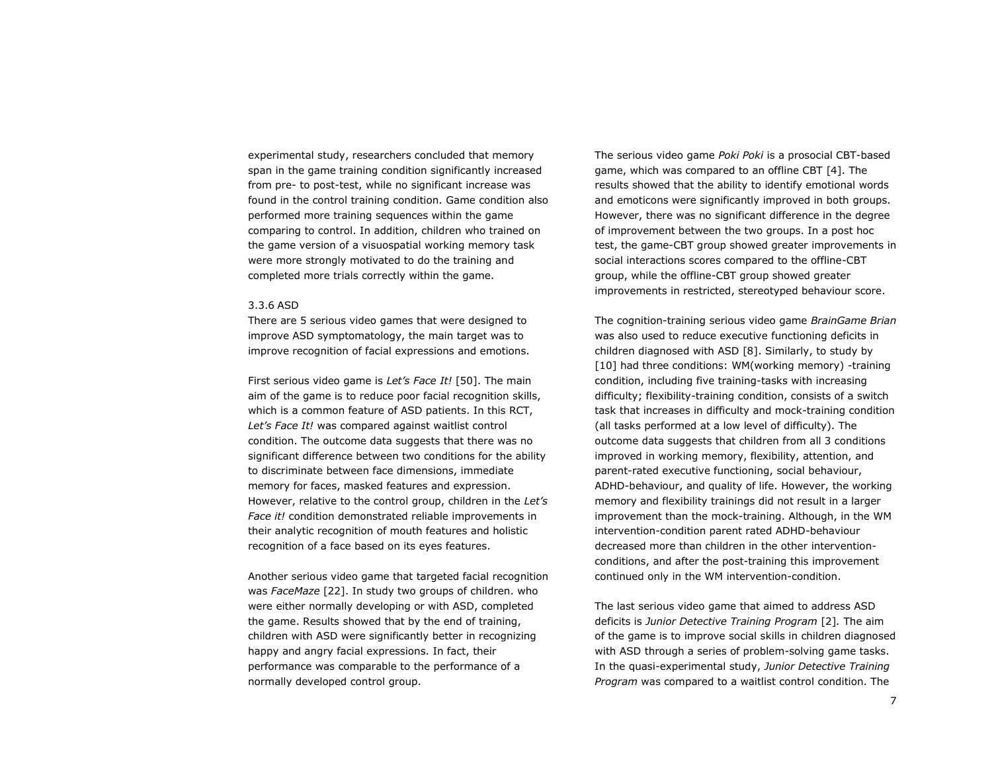experimental study, researchers concluded that memory span in the game training condition significantly increased from pre- to post-test, while no significant increase was found in the control training condition. Game condition also performed more training sequences within the game comparing to control. In addition, children who trained on the game version of a visuospatial working memory task were more strongly motivated to do the training and completed more trials correctly within the game.

#### 3.3.6 ASD

There are 5 serious video games that were designed to improve ASD symptomatology, the main target was to improve recognition of facial expressions and emotions.

First serious video game is *Let's Face It!* [50]. The main aim of the game is to reduce poor facial recognition skills, which is a common feature of ASD patients. In this RCT, *Let's Face It!* was compared against waitlist control condition. The outcome data suggests that there was no significant difference between two conditions for the ability to discriminate between face dimensions, immediate memory for faces, masked features and expression. However, relative to the control group, children in the *Let's Face it!* condition demonstrated reliable improvements in their analytic recognition of mouth features and holistic recognition of a face based on its eyes features.

Another serious video game that targeted facial recognition was *FaceMaze* [22]. In study two groups of children. who were either normally developing or with ASD, completed the game. Results showed that by the end of training, children with ASD were significantly better in recognizing happy and angry facial expressions. In fact, their performance was comparable to the performance of a normally developed control group.

The serious video game *Poki Poki* is a prosocial CBT-based game, which was compared to an offline CBT [4]. The results showed that the ability to identify emotional words and emoticons were significantly improved in both groups. However, there was no significant difference in the degree of improvement between the two groups. In a post hoc test, the game-CBT group showed greater improvements in social interactions scores compared to the offline-CBT group, while the offline-CBT group showed greater improvements in restricted, stereotyped behaviour score.

The cognition-training serious video game *BrainGame Brian* was also used to reduce executive functioning deficits in children diagnosed with ASD [8]. Similarly, to study by [10] had three conditions: WM(working memory) -training condition, including five training-tasks with increasing difficulty; flexibility-training condition, consists of a switch task that increases in difficulty and mock-training condition (all tasks performed at a low level of difficulty). The outcome data suggests that children from all 3 conditions improved in working memory, flexibility, attention, and parent-rated executive functioning, social behaviour, ADHD-behaviour, and quality of life. However, the working memory and flexibility trainings did not result in a larger improvement than the mock-training. Although, in the WM intervention-condition parent rated ADHD-behaviour decreased more than children in the other interventionconditions, and after the post-training this improvement continued only in the WM intervention-condition.

The last serious video game that aimed to address ASD deficits is *Junior Detective Training Program* [2]*.* The aim of the game is to improve social skills in children diagnosed with ASD through a series of problem-solving game tasks. In the quasi-experimental study, *Junior Detective Training Program* was compared to a waitlist control condition. The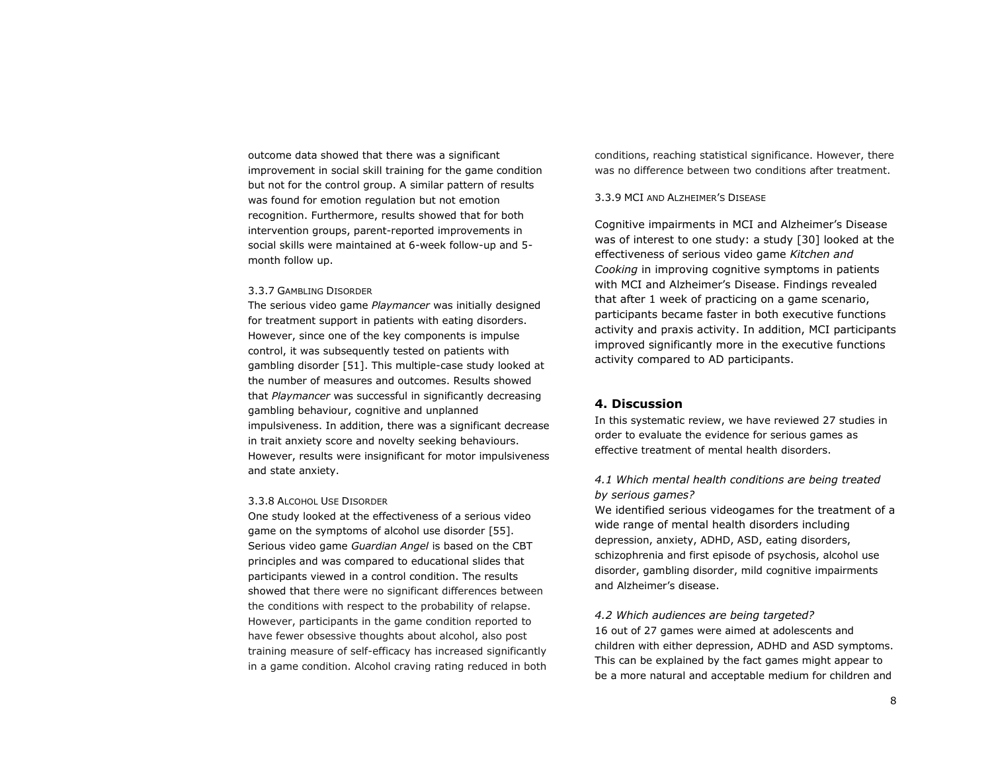outcome data showed that there was a significant improvement in social skill training for the game condition but not for the control group. A similar pattern of results was found for emotion regulation but not emotion recognition. Furthermore, results showed that for both intervention groups, parent-reported improvements in social skills were maintained at 6-week follow-up and 5 month follow up.

#### 3.3.7 GAMBLING DISORDER

The serious video game *Playmancer* was initially designed for treatment support in patients with eating disorders. However, since one of the key components is impulse control, it was subsequently tested on patients with gambling disorder [51]. This multiple-case study looked at the number of measures and outcomes. Results showed that *Playmancer* was successful in significantly decreasing gambling behaviour, cognitive and unplanned impulsiveness. In addition, there was a significant decrease in trait anxiety score and novelty seeking behaviours. However, results were insignificant for motor impulsiveness and state anxiety.

#### 3.3.8 ALCOHOL USE DISORDER

One study looked at the effectiveness of a serious video game on the symptoms of alcohol use disorder [55]. Serious video game *Guardian Angel* is based on the CBT principles and was compared to educational slides that participants viewed in a control condition. The results showed that there were no significant differences between the conditions with respect to the probability of relapse. However, participants in the game condition reported to have fewer obsessive thoughts about alcohol, also post training measure of self-efficacy has increased significantly in a game condition. Alcohol craving rating reduced in both conditions, reaching statistical significance. However, there was no difference between two conditions after treatment.

#### 3.3.9 MCI AND ALZHEIMER'S DISEASE

Cognitive impairments in MCI and Alzheimer's Disease was of interest to one study: a study [30] looked at the effectiveness of serious video game *Kitchen and Cooking* in improving cognitive symptoms in patients with MCI and Alzheimer's Disease. Findings revealed that after 1 week of practicing on a game scenario, participants became faster in both executive functions activity and praxis activity. In addition, MCI participants improved significantly more in the executive functions activity compared to AD participants.

# **4. Discussion**

In this systematic review, we have reviewed 27 studies in order to evaluate the evidence for serious games as effective treatment of mental health disorders.

# *4.1 Which mental health conditions are being treated by serious games?*

We identified serious videogames for the treatment of a wide range of mental health disorders including depression, anxiety, ADHD, ASD, eating disorders, schizophrenia and first episode of psychosis, alcohol use disorder, gambling disorder, mild cognitive impairments and Alzheimer's disease.

#### *4.2 Which audiences are being targeted?*

16 out of 27 games were aimed at adolescents and children with either depression, ADHD and ASD symptoms. This can be explained by the fact games might appear to be a more natural and acceptable medium for children and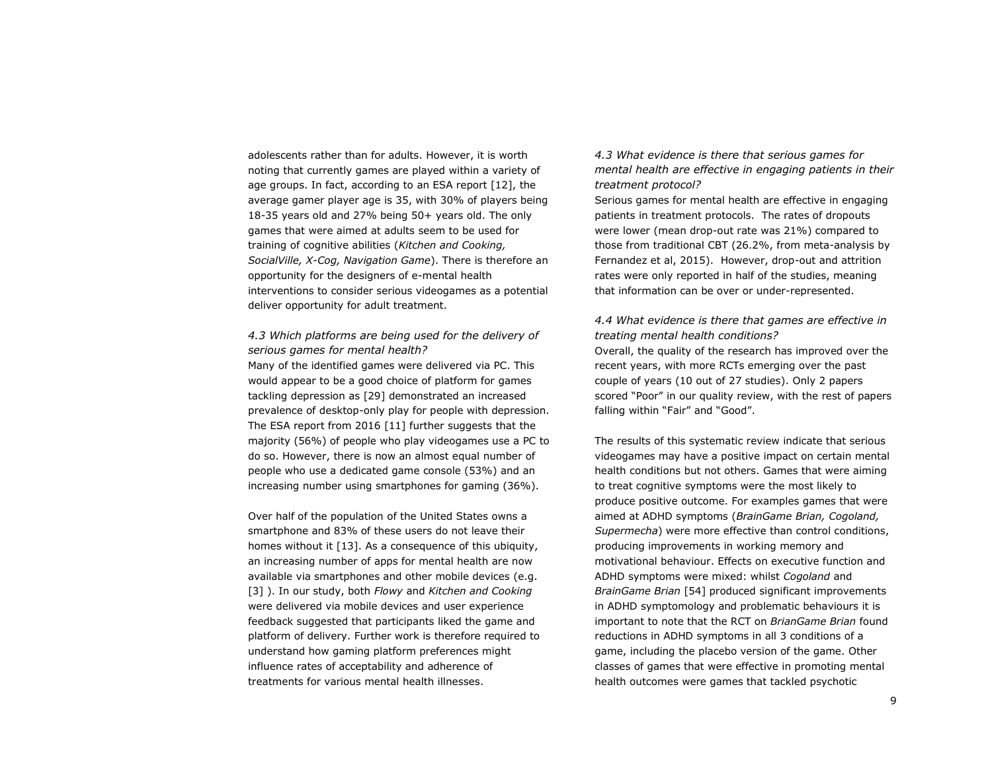adolescents rather than for adults. However, it is worth noting that currently games are played within a variety of age groups. In fact, according to an ESA report [12], the average gamer player age is 35, with 30% of players being 18-35 years old and 27% being 50+ years old. The only games that were aimed at adults seem to be used for training of cognitive abilities (*Kitchen and Cooking, SocialVille, X-Cog, Navigation Game*). There is therefore an opportunity for the designers of e-mental health interventions to consider serious videogames as a potential deliver opportunity for adult treatment.

*4.3 Which platforms are being used for the delivery of serious games for mental health?* Many of the identified games were delivered via PC. This would appear to be a good choice of platform for games tackling depression as [29] demonstrated an increased prevalence of desktop-only play for people with depression. The ESA report from 2016 [11] further suggests that the majority (56%) of people who play videogames use a PC to do so. However, there is now an almost equal number of people who use a dedicated game console (53%) and an increasing number using smartphones for gaming (36%).

Over half of the population of the United States owns a smartphone and 83% of these users do not leave their homes without it [13]. As a consequence of this ubiquity, an increasing number of apps for mental health are now available via smartphones and other mobile devices (e.g. [3] ). In our study, both *Flowy* and *Kitchen and Cooking* were delivered via mobile devices and user experience feedback suggested that participants liked the game and platform of delivery. Further work is therefore required to understand how gaming platform preferences might influence rates of acceptability and adherence of treatments for various mental health illnesses.

*4.3 What evidence is there that serious games for mental health are effective in engaging patients in their treatment protocol?*

Serious games for mental health are effective in engaging patients in treatment protocols. The rates of dropouts were lower (mean drop-out rate was 21%) compared to those from traditional CBT (26.2%, from meta-analysis by Fernandez et al, 2015). However, drop-out and attrition rates were only reported in half of the studies, meaning that information can be over or under-represented.

*4.4 What evidence is there that games are effective in treating mental health conditions?* Overall, the quality of the research has improved over the recent years, with more RCTs emerging over the past couple of years (10 out of 27 studies). Only 2 papers scored "Poor" in our quality review, with the rest of papers falling within "Fair" and "Good".

The results of this systematic review indicate that serious videogames may have a positive impact on certain mental health conditions but not others. Games that were aiming to treat cognitive symptoms were the most likely to produce positive outcome. For examples games that were aimed at ADHD symptoms (*BrainGame Brian, Cogoland, Supermecha*) were more effective than control conditions, producing improvements in working memory and motivational behaviour. Effects on executive function and ADHD symptoms were mixed: whilst *Cogoland* and *BrainGame Brian* [54] produced significant improvements in ADHD symptomology and problematic behaviours it is important to note that the RCT on *BrianGame Brian* found reductions in ADHD symptoms in all 3 conditions of a game, including the placebo version of the game. Other classes of games that were effective in promoting mental health outcomes were games that tackled psychotic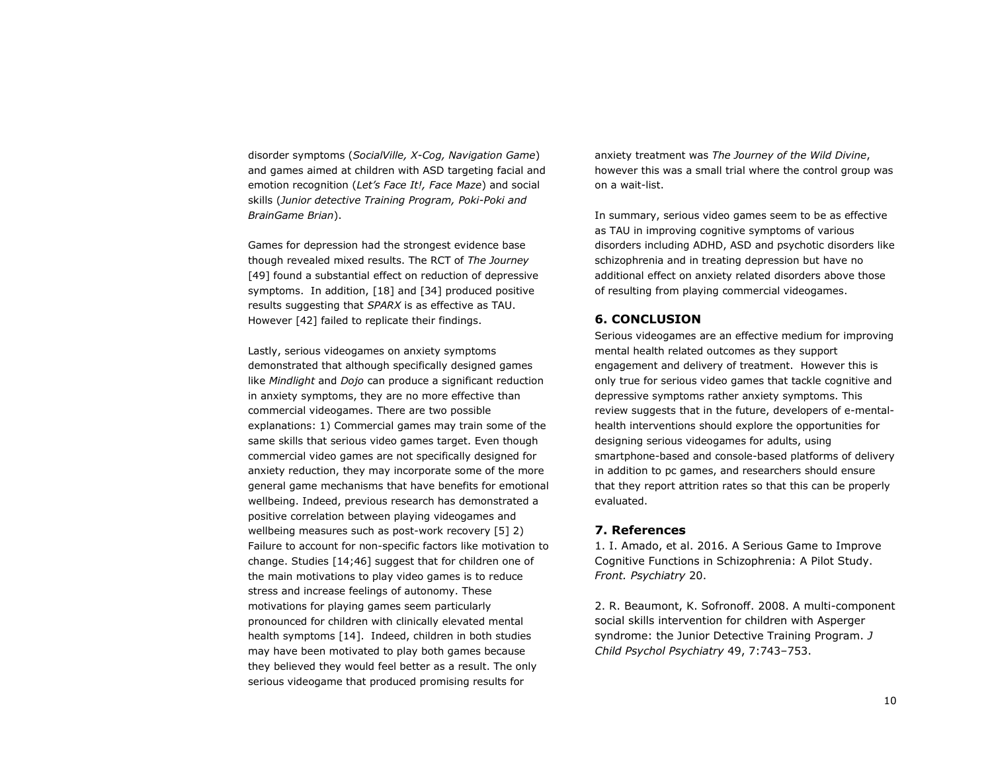disorder symptoms (*SocialVille, X-Cog, Navigation Game*) and games aimed at children with ASD targeting facial and emotion recognition (*Let's Face It!, Face Maze*) and social skills (*Junior detective Training Program, Poki-Poki and BrainGame Brian*).

Games for depression had the strongest evidence base though revealed mixed results. The RCT of *The Journey* [49] found a substantial effect on reduction of depressive symptoms. In addition, [18] and [34] produced positive results suggesting that *SPARX* is as effective as TAU. However [42] failed to replicate their findings.

Lastly, serious videogames on anxiety symptoms demonstrated that although specifically designed games like *Mindlight* and *Dojo* can produce a significant reduction in anxiety symptoms, they are no more effective than commercial videogames. There are two possible explanations: 1) Commercial games may train some of the same skills that serious video games target. Even though commercial video games are not specifically designed for anxiety reduction, they may incorporate some of the more general game mechanisms that have benefits for emotional wellbeing. Indeed, previous research has demonstrated a positive correlation between playing videogames and wellbeing measures such as post-work recovery [5] 2) Failure to account for non-specific factors like motivation to change. Studies [14;46] suggest that for children one of the main motivations to play video games is to reduce stress and increase feelings of autonomy. These motivations for playing games seem particularly pronounced for children with clinically elevated mental health symptoms [14]. Indeed, children in both studies may have been motivated to play both games because they believed they would feel better as a result. The only serious videogame that produced promising results for

anxiety treatment was *The Journey of the Wild Divine*, however this was a small trial where the control group was on a wait-list.

In summary, serious video games seem to be as effective as TAU in improving cognitive symptoms of various disorders including ADHD, ASD and psychotic disorders like schizophrenia and in treating depression but have no additional effect on anxiety related disorders above those of resulting from playing commercial videogames.

# **6. CONCLUSION**

Serious videogames are an effective medium for improving mental health related outcomes as they support engagement and delivery of treatment. However this is only true for serious video games that tackle cognitive and depressive symptoms rather anxiety symptoms. This review suggests that in the future, developers of e-mentalhealth interventions should explore the opportunities for designing serious videogames for adults, using smartphone-based and console-based platforms of delivery in addition to pc games, and researchers should ensure that they report attrition rates so that this can be properly evaluated.

# **7. References**

1. I. Amado, et al. 2016. A Serious Game to Improve Cognitive Functions in Schizophrenia: A Pilot Study. *Front. Psychiatry* 20.

2. R. Beaumont, K. Sofronoff. 2008. A multi-component social skills intervention for children with Asperger syndrome: the Junior Detective Training Program. *J Child Psychol Psychiatry* 49, 7:743–753.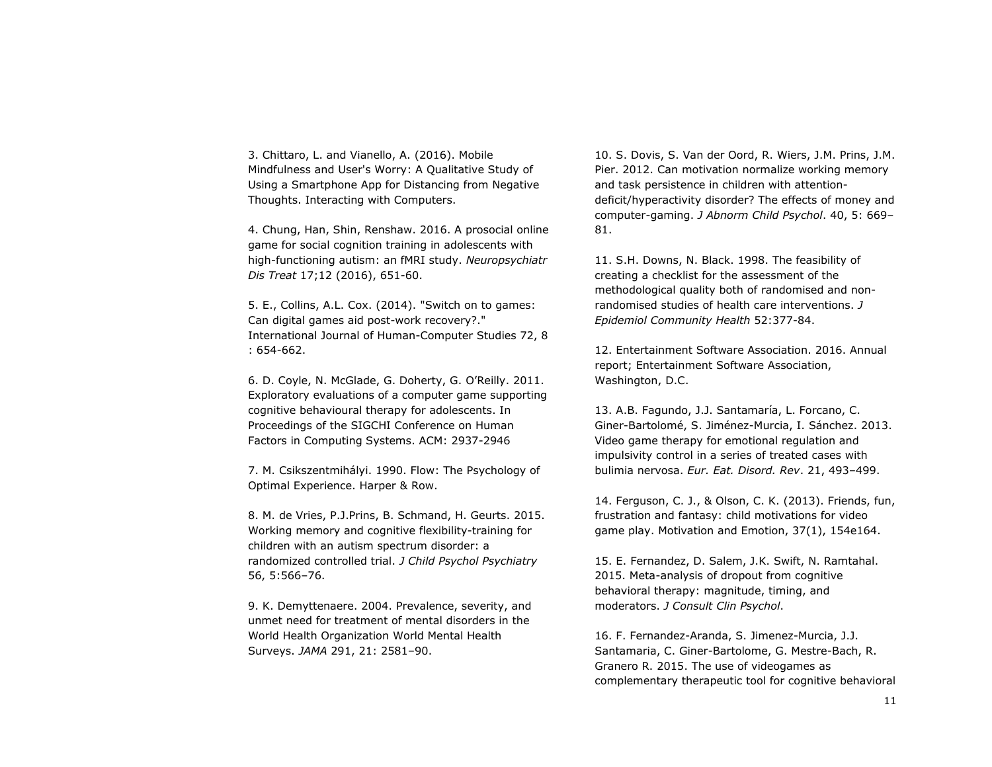3. Chittaro, L. and Vianello, A. (2016). Mobile Mindfulness and User's Worry: A Qualitative Study of Using a Smartphone App for Distancing from Negative Thoughts. Interacting with Computers.

4. Chung, Han, Shin, Renshaw. 2016. A prosocial online game for social cognition training in adolescents with high-functioning autism: an fMRI study. *Neuropsychiatr Dis Treat* 17;12 (2016), 651-60.

5. E., Collins, A.L. Cox. (2014). "Switch on to games: Can digital games aid post-work recovery?." International Journal of Human-Computer Studies 72, 8 : 654-662.

6. D. Coyle, N. McGlade, G. Doherty, G. O'Reilly. 2011. Exploratory evaluations of a computer game supporting cognitive behavioural therapy for adolescents. In Proceedings of the SIGCHI Conference on Human Factors in Computing Systems. ACM: 2937-2946

7. M. Csikszentmihályi. 1990. Flow: The Psychology of Optimal Experience. Harper & Row.

8. M. de Vries, P.J.Prins, B. Schmand, H. Geurts. 2015. Working memory and cognitive flexibility-training for children with an autism spectrum disorder: a randomized controlled trial. *J Child Psychol Psychiatry* 56, 5:566–76.

9. K. Demyttenaere. 2004. Prevalence, severity, and unmet need for treatment of mental disorders in the World Health Organization World Mental Health Surveys. *JAMA* 291, 21: 2581–90.

10. S. Dovis, S. Van der Oord, R. Wiers, J.M. Prins, J.M. Pier. 2012. Can motivation normalize working memory and task persistence in children with attentiondeficit/hyperactivity disorder? The effects of money and computer-gaming. *J Abnorm Child Psychol*. 40, 5: 669– 81.

11. S.H. Downs, N. Black. 1998. The feasibility of creating a checklist for the assessment of the methodological quality both of randomised and nonrandomised studies of health care interventions. *J Epidemiol Community Health* 52:377-84.

12. Entertainment Software Association. 2016. Annual report; Entertainment Software Association, Washington, D.C.

13. A.B. Fagundo, J.J. Santamaría, L. Forcano, C. Giner-Bartolomé, S. Jiménez-Murcia, I. Sánchez. 2013. Video game therapy for emotional regulation and impulsivity control in a series of treated cases with bulimia nervosa. *Eur. Eat. Disord. Rev*. 21, 493–499.

14. Ferguson, C. J., & Olson, C. K. (2013). Friends, fun, frustration and fantasy: child motivations for video game play. Motivation and Emotion, 37(1), 154e164.

15. E. Fernandez, D. Salem, J.K. Swift, N. Ramtahal. 2015. Meta-analysis of dropout from cognitive behavioral therapy: magnitude, timing, and moderators. *J Consult Clin Psychol*.

16. F. Fernandez-Aranda, S. Jimenez-Murcia, J.J. Santamaria, C. Giner-Bartolome, G. Mestre-Bach, R. Granero R. 2015. The use of videogames as complementary therapeutic tool for cognitive behavioral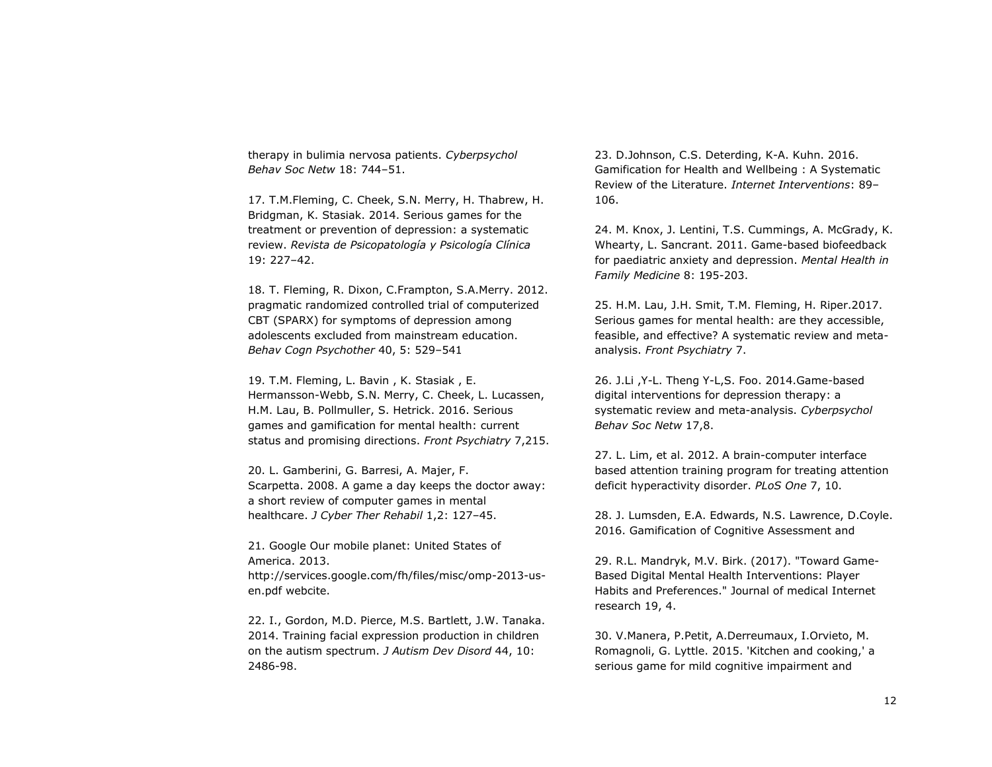therapy in bulimia nervosa patients. *Cyberpsychol Behav Soc Netw* 18: 744–51.

17. T.M.Fleming, C. Cheek, S.N. Merry, H. Thabrew, H. Bridgman, K. Stasiak. 2014. Serious games for the treatment or prevention of depression: a systematic review. *Revista de Psicopatología y Psicología Clínica* 19: 227–42.

18. T. Fleming, R. Dixon, C.Frampton, S.A.Merry. 2012. pragmatic randomized controlled trial of computerized CBT (SPARX) for symptoms of depression among adolescents excluded from mainstream education. *Behav Cogn Psychother* 40, 5: 529–541

19. T.M. Fleming, L. Bavin , K. Stasiak , E. Hermansson-Webb, S.N. Merry, C. Cheek, L. Lucassen, H.M. Lau, B. Pollmuller, S. Hetrick. 2016. Serious games and gamification for mental health: current status and promising directions. *Front Psychiatry* 7,215.

20. L. Gamberini, G. Barresi, A. Majer, F. Scarpetta. 2008. A game a day keeps the doctor away: a short review of computer games in mental healthcare. *J Cyber Ther Rehabil* 1,2: 127–45.

21. Google Our mobile planet: United States of America. 2013. http://services.google.com/fh/files/misc/omp-2013-usen.pdf webcite.

22. I., Gordon, M.D. Pierce, M.S. Bartlett, J.W. Tanaka. 2014. Training facial expression production in children on the autism spectrum. *J Autism Dev Disord* 44, 10: 2486-98.

23. D.Johnson, C.S. Deterding, K-A. Kuhn. 2016. Gamification for Health and Wellbeing : A Systematic Review of the Literature. *Internet Interventions*: 89– 106.

24. M. Knox, J. Lentini, T.S. Cummings, A. McGrady, K. Whearty, L. Sancrant. 2011. Game-based biofeedback for paediatric anxiety and depression. *Mental Health in Family Medicine* 8: 195-203.

25. H.M. Lau, J.H. Smit, T.M. Fleming, H. Riper.2017. Serious games for mental health: are they accessible, feasible, and effective? A systematic review and metaanalysis. *Front Psychiatry* 7.

26. J.Li ,Y-L. Theng Y-L,S. Foo. 2014.Game-based digital interventions for depression therapy: a systematic review and meta-analysis. *Cyberpsychol Behav Soc Netw* 17,8.

27. L. Lim, et al. 2012. A brain-computer interface based attention training program for treating attention deficit hyperactivity disorder. *PLoS One* 7, 10.

28. J. Lumsden, E.A. Edwards, N.S. Lawrence, D.Coyle. 2016. Gamification of Cognitive Assessment and

29. R.L. Mandryk, M.V. Birk. (2017). "Toward Game-Based Digital Mental Health Interventions: Player Habits and Preferences." Journal of medical Internet research 19, 4.

30. V.Manera, P.Petit, A.Derreumaux, I.Orvieto, M. Romagnoli, G. Lyttle. 2015. 'Kitchen and cooking,' a serious game for mild cognitive impairment and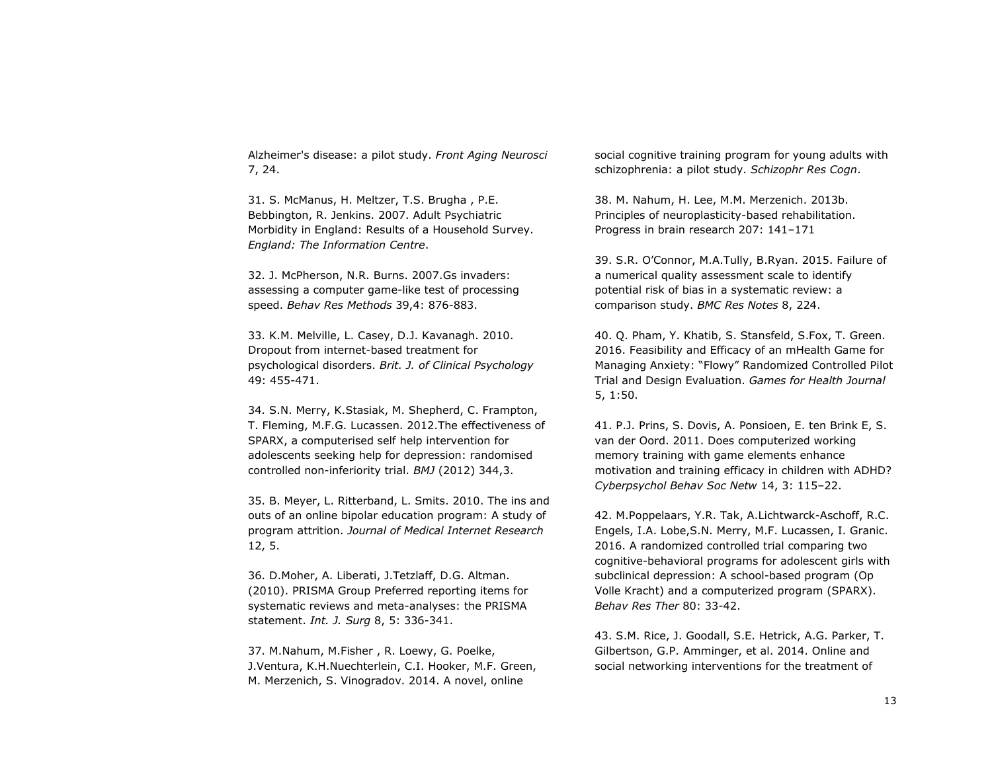Alzheimer's disease: a pilot study. *Front Aging Neurosci* 7, 24.

31. S. McManus, H. Meltzer, T.S. Brugha , P.E. Bebbington, R. Jenkins. 2007. Adult Psychiatric Morbidity in England: Results of a Household Survey. *England: The Information Centre*.

32. J. McPherson, N.R. Burns. 2007.Gs invaders: assessing a computer game-like test of processing speed. *Behav Res Methods* 39,4: 876-883.

33. K.M. Melville, L. Casey, D.J. Kavanagh. 2010. Dropout from internet-based treatment for psychological disorders. *Brit. J. of Clinical Psychology* 49: 455-471.

34. S.N. Merry, K.Stasiak, M. Shepherd, C. Frampton, T. Fleming, M.F.G. Lucassen. 2012.The effectiveness of SPARX, a computerised self help intervention for adolescents seeking help for depression: randomised controlled non-inferiority trial. *BMJ* (2012) 344,3.

35. B. Meyer, L. Ritterband, L. Smits. 2010. The ins and outs of an online bipolar education program: A study of program attrition. *Journal of Medical Internet Research* 12, 5.

36. D.Moher, A. Liberati, J.Tetzlaff, D.G. Altman. (2010). PRISMA Group Preferred reporting items for systematic reviews and meta-analyses: the PRISMA statement. *Int. J. Surg* 8, 5: 336-341.

37. M.Nahum, M.Fisher , R. Loewy, G. Poelke, J.Ventura, K.H.Nuechterlein, C.I. Hooker, M.F. Green, M. Merzenich, S. Vinogradov. 2014. A novel, online

social cognitive training program for young adults with schizophrenia: a pilot study. *Schizophr Res Cogn*.

38. M. Nahum, H. Lee, M.M. Merzenich. 2013b. Principles of neuroplasticity-based rehabilitation. Progress in brain research 207: 141–171

39. S.R. O'Connor, M.A.Tully, B.Ryan. 2015. Failure of a numerical quality assessment scale to identify potential risk of bias in a systematic review: a comparison study. *BMC Res Notes* 8, 224.

40. Q. Pham, Y. Khatib, S. Stansfeld, S.Fox, T. Green. 2016. Feasibility and Efficacy of an mHealth Game for Managing Anxiety: "Flowy" Randomized Controlled Pilot Trial and Design Evaluation. *Games for Health Journal* 5, 1:50.

41. P.J. Prins, S. Dovis, A. Ponsioen, E. ten Brink E, S. van der Oord. 2011. Does computerized working memory training with game elements enhance motivation and training efficacy in children with ADHD? *Cyberpsychol Behav Soc Netw* 14, 3: 115–22.

42. M.Poppelaars, Y.R. Tak, A.Lichtwarck-Aschoff, R.C. Engels, I.A. Lobe,S.N. Merry, M.F. Lucassen, I. Granic. 2016. A randomized controlled trial comparing two cognitive-behavioral programs for adolescent girls with subclinical depression: A school-based program (Op Volle Kracht) and a computerized program (SPARX). *Behav Res Ther* 80: 33-42.

43. S.M. Rice, J. Goodall, S.E. Hetrick, A.G. Parker, T. Gilbertson, G.P. Amminger, et al. 2014. Online and social networking interventions for the treatment of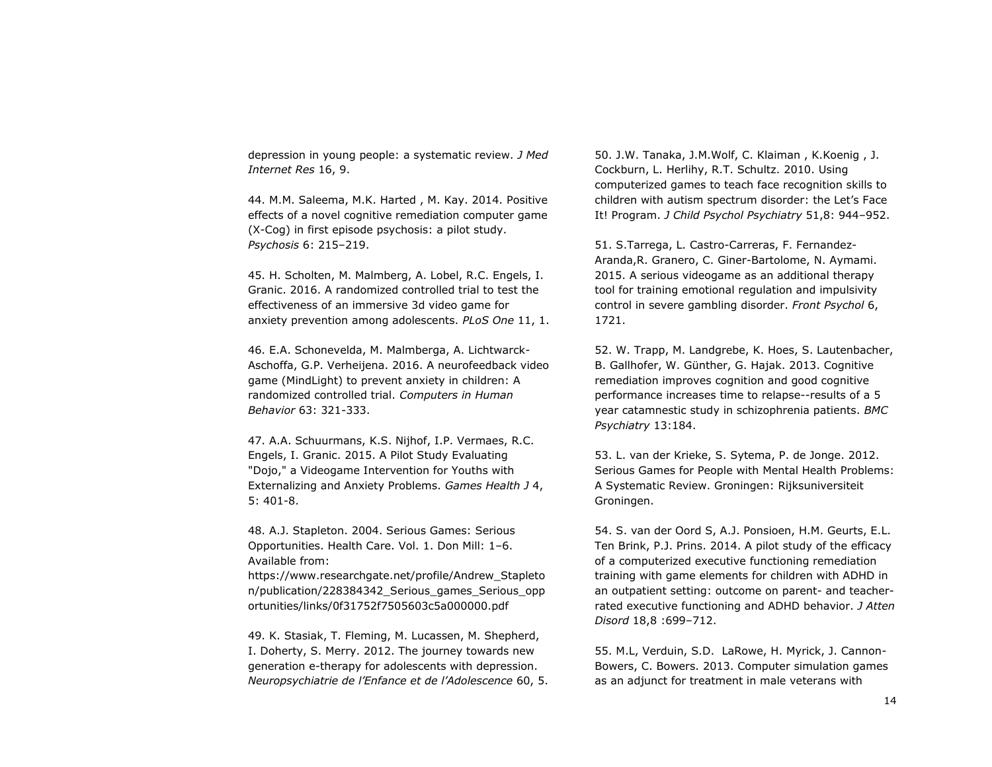depression in young people: a systematic review. *J Med Internet Res* 16, 9.

44. M.M. Saleema, M.K. Harted , M. Kay. 2014. Positive effects of a novel cognitive remediation computer game (X-Cog) in first episode psychosis: a pilot study. *Psychosis* 6: 215–219.

45. H. Scholten, M. Malmberg, A. Lobel, R.C. Engels, I. Granic. 2016. A randomized controlled trial to test the effectiveness of an immersive 3d video game for anxiety prevention among adolescents. *PLoS One* 11, 1.

46. E.A. Schonevelda, M. Malmberga, A. Lichtwarck-Aschoffa, G.P. Verheijena. 2016. A neurofeedback video game (MindLight) to prevent anxiety in children: A randomized controlled trial. *Computers in Human Behavior* 63: 321-333.

47. A.A. Schuurmans, K.S. Nijhof, I.P. Vermaes, R.C. Engels, I. Granic. 2015. A Pilot Study Evaluating "Dojo," a Videogame Intervention for Youths with Externalizing and Anxiety Problems. *Games Health J* 4, 5: 401-8.

48. A.J. Stapleton. 2004. Serious Games: Serious Opportunities. Health Care. Vol. 1. Don Mill: 1–6. Available from:

https://www.researchgate.net/profile/Andrew\_Stapleto n/publication/228384342\_Serious\_games\_Serious\_opp ortunities/links/0f31752f7505603c5a000000.pdf

49. K. Stasiak, T. Fleming, M. Lucassen, M. Shepherd, I. Doherty, S. Merry. 2012. The journey towards new generation e-therapy for adolescents with depression. *Neuropsychiatrie de l'Enfance et de l'Adolescence* 60, 5. 50. J.W. Tanaka, J.M.Wolf, C. Klaiman , K.Koenig , J. Cockburn, L. Herlihy, R.T. Schultz. 2010. Using computerized games to teach face recognition skills to children with autism spectrum disorder: the Let's Face It! Program. *J Child Psychol Psychiatry* 51,8: 944–952.

51. S.Tarrega, L. Castro-Carreras, F. Fernandez-Aranda,R. Granero, C. Giner-Bartolome, N. Aymami. 2015. A serious videogame as an additional therapy tool for training emotional regulation and impulsivity control in severe gambling disorder. *Front Psychol* 6, 1721.

52. W. Trapp, M. Landgrebe, K. Hoes, S. Lautenbacher, B. Gallhofer, W. Günther, G. Hajak. 2013. Cognitive remediation improves cognition and good cognitive performance increases time to relapse--results of a 5 year catamnestic study in schizophrenia patients. *BMC Psychiatry* 13:184.

53. L. van der Krieke, S. Sytema, P. de Jonge. 2012. Serious Games for People with Mental Health Problems: A Systematic Review. Groningen: Rijksuniversiteit Groningen.

54. S. van der Oord S, A.J. Ponsioen, H.M. Geurts, E.L. Ten Brink, P.J. Prins. 2014. A pilot study of the efficacy of a computerized executive functioning remediation training with game elements for children with ADHD in an outpatient setting: outcome on parent- and teacherrated executive functioning and ADHD behavior. *J Atten Disord* 18,8 :699–712.

55. M.L, Verduin, S.D. LaRowe, H. Myrick, J. Cannon-Bowers, C. Bowers. 2013. Computer simulation games as an adjunct for treatment in male veterans with